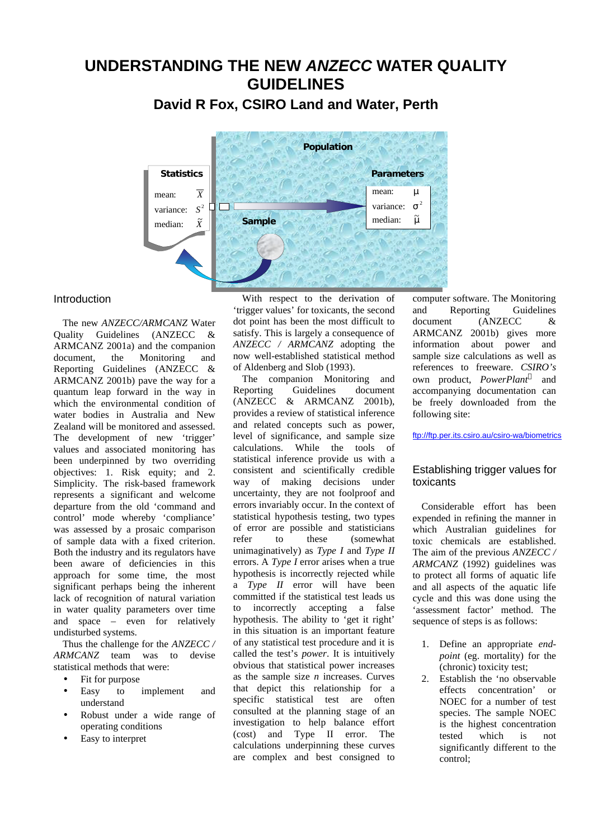# **UNDERSTANDING THE NEW** *ANZECC* **WATER QUALITY GUIDELINES**

**David R Fox, CSIRO Land and Water, Perth**



## **Introduction**

The new *ANZECC/ARMCANZ* Water Quality Guidelines (ANZECC & ARMCANZ 2001a) and the companion document, the Monitoring and Reporting Guidelines (ANZECC & ARMCANZ 2001b) pave the way for a quantum leap forward in the way in which the environmental condition of water bodies in Australia and New Zealand will be monitored and assessed. The development of new 'trigger' values and associated monitoring has been underpinned by two overriding objectives: 1. Risk equity; and 2. Simplicity. The risk-based framework represents a significant and welcome departure from the old 'command and control' mode whereby 'compliance' was assessed by a prosaic comparison of sample data with a fixed criterion. Both the industry and its regulators have been aware of deficiencies in this approach for some time, the most significant perhaps being the inherent lack of recognition of natural variation in water quality parameters over time and space – even for relatively undisturbed systems.

Thus the challenge for the *ANZECC / ARMCANZ* team was to devise statistical methods that were:

- Fit for purpose
- Easy to implement and understand
- Robust under a wide range of operating conditions
- Easy to interpret

With respect to the derivation of 'trigger values' for toxicants, the second dot point has been the most difficult to satisfy. This is largely a consequence of *ANZECC / ARMCANZ* adopting the now well-established statistical method of Aldenberg and Slob (1993).

The companion Monitoring and Reporting Guidelines document (ANZECC & ARMCANZ 2001b), provides a review of statistical inference and related concepts such as power, level of significance, and sample size calculations. While the tools of statistical inference provide us with a consistent and scientifically credible way of making decisions under uncertainty, they are not foolproof and errors invariably occur. In the context of statistical hypothesis testing, two types of error are possible and statisticians refer to these (somewhat unimaginatively) as *Type I* and *Type II* errors. A *Type I* error arises when a true hypothesis is incorrectly rejected while a *Type II* error will have been committed if the statistical test leads us to incorrectly accepting a false hypothesis. The ability to 'get it right' in this situation is an important feature of any statistical test procedure and it is called the test's *power*. It is intuitively obvious that statistical power increases as the sample size *n* increases. Curves that depict this relationship for a specific statistical test are often consulted at the planning stage of an investigation to help balance effort (cost) and Type II error. The calculations underpinning these curves are complex and best consigned to computer software. The Monitoring and Reporting Guidelines document (ANZECC & ARMCANZ 2001b) gives more information about power and sample size calculations as well as references to freeware. *CSIRO's* own product, *PowerPlant*® and accompanying documentation can be freely downloaded from the following site:

ftp://ftp.per.its.csiro.au/csiro-wa/biometrics

## Establishing trigger values for toxicants

Considerable effort has been expended in refining the manner in which Australian guidelines for toxic chemicals are established. The aim of the previous *ANZECC / ARMCANZ* (1992) guidelines was to protect all forms of aquatic life and all aspects of the aquatic life cycle and this was done using the 'assessment factor' method. The sequence of steps is as follows:

- 1. Define an appropriate *endpoint* (eg. mortality) for the (chronic) toxicity test;
- 2. Establish the 'no observable effects concentration' or NOEC for a number of test species. The sample NOEC is the highest concentration tested which is not significantly different to the control;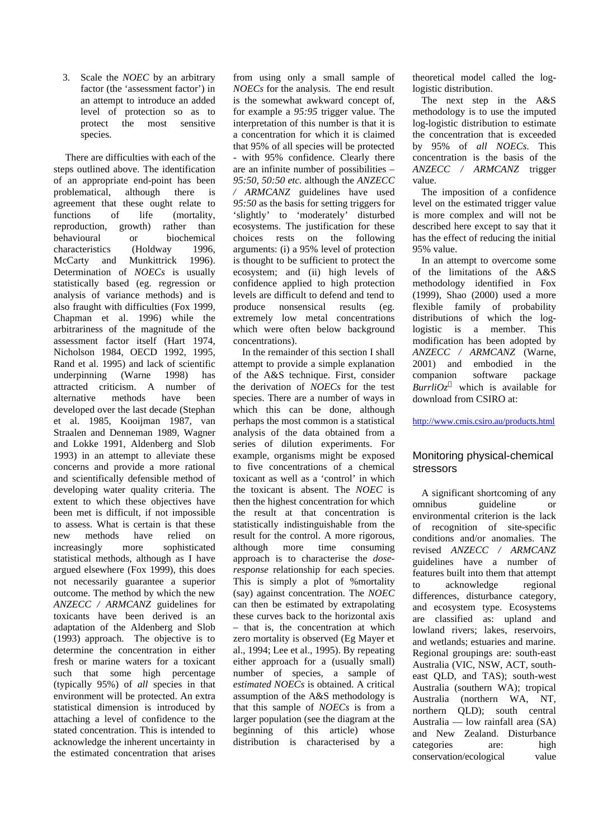3. Scale the *NOEC* by an arbitrary factor (the 'assessment factor') in an attempt to introduce an added level of protection so as to protect the most sensitive species.

 There are difficulties with each of the steps outlined above. The identification of an appropriate end-point has been problematical, although there is agreement that these ought relate to functions of life (mortality, reproduction, growth) rather than behavioural or biochemical characteristics (Holdway 1996, McCarty and Munkittrick 1996). Determination of *NOECs* is usually statistically based (eg. regression or analysis of variance methods) and is also fraught with difficulties (Fox 1999, Chapman et al. 1996) while the arbitrariness of the magnitude of the assessment factor itself (Hart 1974, Nicholson 1984, OECD 1992, 1995, Rand et al. 1995) and lack of scientific underpinning (Warne 1998) has attracted criticism. A number of alternative methods have been developed over the last decade (Stephan et al. 1985, Kooijman 1987, van Straalen and Denneman 1989, Wagner and Lokke 1991, Aldenberg and Slob 1993) in an attempt to alleviate these concerns and provide a more rational and scientifically defensible method of developing water quality criteria. The extent to which these objectives have been met is difficult, if not impossible to assess. What is certain is that these new methods have relied on increasingly more sophisticated statistical methods, although as I have argued elsewhere (Fox 1999), this does not necessarily guarantee a superior outcome. The method by which the new *ANZECC / ARMCANZ* guidelines for toxicants have been derived is an adaptation of the Aldenberg and Slob (1993) approach. The objective is to determine the concentration in either fresh or marine waters for a toxicant such that some high percentage (typically 95%) of *all* species in that environment will be protected. An extra statistical dimension is introduced by attaching a level of confidence to the stated concentration. This is intended to acknowledge the inherent uncertainty in the estimated concentration that arises

from using only a small sample of *NOECs* for the analysis. The end result is the somewhat awkward concept of, for example a *95:95* trigger value. The interpretation of this number is that it is a concentration for which it is claimed that 95% of all species will be protected - with 95% confidence. Clearly there are an infinite number of possibilities – *95:50, 50:50 etc.* although the *ANZECC / ARMCANZ* guidelines have used *95:50* as the basis for setting triggers for 'slightly' to 'moderately' disturbed ecosystems. The justification for these choices rests on the following arguments: (i) a 95% level of protection is thought to be sufficient to protect the ecosystem; and (ii) high levels of confidence applied to high protection levels are difficult to defend and tend to produce nonsensical results (eg. extremely low metal concentrations which were often below background concentrations).

In the remainder of this section I shall attempt to provide a simple explanation of the A&S technique. First, consider the derivation of *NOECs* for the test species. There are a number of ways in which this can be done, although perhaps the most common is a statistical analysis of the data obtained from a series of dilution experiments. For example, organisms might be exposed to five concentrations of a chemical toxicant as well as a 'control' in which the toxicant is absent. The *NOEC* is then the highest concentration for which the result at that concentration is statistically indistinguishable from the result for the control. A more rigorous, although more time consuming approach is to characterise the *doseresponse* relationship for each species. This is simply a plot of %mortality (say) against concentration. The *NOEC* can then be estimated by extrapolating these curves back to the horizontal axis – that is, the concentration at which zero mortality is observed (Eg Mayer et al., 1994; Lee et al., 1995). By repeating either approach for a (usually small) number of species, a sample of *estimated NOECs* is obtained. A critical assumption of the A&S methodology is that this sample of *NOECs* is from a larger population (see the diagram at the beginning of this article) whose distribution is characterised by a

theoretical model called the loglogistic distribution.

The next step in the A&S methodology is to use the imputed log-logistic distribution to estimate the concentration that is exceeded by 95% of *all NOECs*. This concentration is the basis of the *ANZECC / ARMCANZ* trigger value.

The imposition of a confidence level on the estimated trigger value is more complex and will not be described here except to say that it has the effect of reducing the initial 95% value.

In an attempt to overcome some of the limitations of the A&S methodology identified in Fox (1999), Shao (2000) used a more flexible family of probability distributions of which the loglogistic is a member. This modification has been adopted by *ANZECC / ARMCANZ* (Warne, 2001) and embodied in the companion software package *BurrliOz* which is available for download from CSIRO at:

http://www.cmis.csiro.au/products.html

# Monitoring physical-chemical stressors

A significant shortcoming of any omnibus guideline or environmental criterion is the lack of recognition of site-specific conditions and/or anomalies. The revised *ANZECC / ARMCANZ* guidelines have a number of features built into them that attempt to acknowledge regional differences, disturbance category, and ecosystem type. Ecosystems are classified as: upland and lowland rivers; lakes, reservoirs, and wetlands; estuaries and marine. Regional groupings are: south-east Australia (VIC, NSW, ACT, southeast QLD, and TAS); south-west Australia (southern WA); tropical Australia (northern WA, NT, northern QLD); south central Australia — low rainfall area (SA) and New Zealand. Disturbance categories are: high conservation/ecological value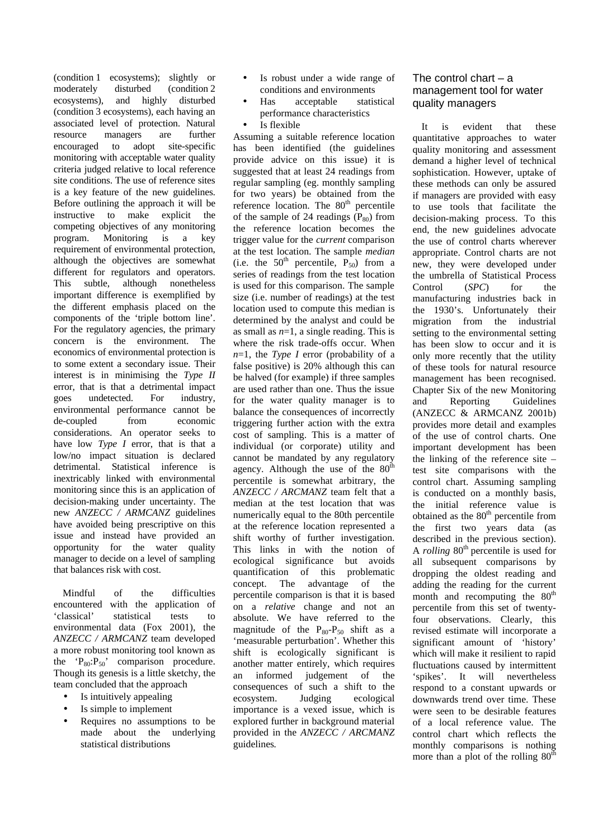(condition 1 ecosystems); slightly or moderately disturbed (condition 2 ecosystems), and highly disturbed (condition 3 ecosystems), each having an associated level of protection. Natural resource managers are further encouraged to adopt site-specific monitoring with acceptable water quality criteria judged relative to local reference site conditions. The use of reference sites is a key feature of the new guidelines. Before outlining the approach it will be instructive to make explicit the competing objectives of any monitoring program. Monitoring is a key requirement of environmental protection, although the objectives are somewhat different for regulators and operators. This subtle, although nonetheless important difference is exemplified by the different emphasis placed on the components of the 'triple bottom line'. For the regulatory agencies, the primary concern is the environment. The economics of environmental protection is to some extent a secondary issue. Their interest is in minimising the *Type II* error, that is that a detrimental impact goes undetected. For industry, environmental performance cannot be de-coupled from economic considerations. An operator seeks to have low *Type I* error, that is that a low/no impact situation is declared detrimental. Statistical inference is inextricably linked with environmental monitoring since this is an application of decision-making under uncertainty. The new *ANZECC / ARMCANZ* guidelines have avoided being prescriptive on this issue and instead have provided an opportunity for the water quality manager to decide on a level of sampling that balances risk with cost.

Mindful of the difficulties encountered with the application of 'classical' statistical tests to environmental data (Fox 2001), the *ANZECC / ARMCANZ* team developed a more robust monitoring tool known as the ' $P_{80}$ : $P_{50}$ ' comparison procedure. Though its genesis is a little sketchy, the team concluded that the approach

- Is intuitively appealing
- Is simple to implement
- Requires no assumptions to be made about the underlying statistical distributions
- Is robust under a wide range of conditions and environments
- Has acceptable statistical performance characteristics
- Is flexible

Assuming a suitable reference location has been identified (the guidelines provide advice on this issue) it is suggested that at least 24 readings from regular sampling (eg. monthly sampling for two years) be obtained from the reference location. The 80<sup>th</sup> percentile of the sample of 24 readings  $(P_{80})$  from the reference location becomes the trigger value for the *current* comparison at the test location. The sample *median* (i.e. the  $50^{th}$  percentile,  $P_{50}$ ) from a series of readings from the test location is used for this comparison. The sample size (i.e. number of readings) at the test location used to compute this median is determined by the analyst and could be as small as *n*=1, a single reading. This is where the risk trade-offs occur. When *n*=1, the *Type I* error (probability of a false positive) is 20% although this can be halved (for example) if three samples are used rather than one. Thus the issue for the water quality manager is to balance the consequences of incorrectly triggering further action with the extra cost of sampling. This is a matter of individual (or corporate) utility and cannot be mandated by any regulatory agency. Although the use of the  $80<sup>th</sup>$ percentile is somewhat arbitrary, the *ANZECC / ARCMANZ* team felt that a median at the test location that was numerically equal to the 80th percentile at the reference location represented a shift worthy of further investigation. This links in with the notion of ecological significance but avoids quantification of this problematic concept. The advantage of the percentile comparison is that it is based on a *relative* change and not an absolute. We have referred to the magnitude of the  $P_{80} - P_{50}$  shift as a 'measurable perturbation'. Whether this shift is ecologically significant is another matter entirely, which requires an informed judgement of the consequences of such a shift to the ecosystem. Judging ecological importance is a vexed issue, which is explored further in background material provided in the *ANZECC / ARCMANZ* guidelines*.*

## The control chart – a management tool for water quality managers

It is evident that these quantitative approaches to water quality monitoring and assessment demand a higher level of technical sophistication. However, uptake of these methods can only be assured if managers are provided with easy to use tools that facilitate the decision-making process. To this end, the new guidelines advocate the use of control charts wherever appropriate. Control charts are not new, they were developed under the umbrella of Statistical Process Control (*SPC*) for the manufacturing industries back in the 1930's. Unfortunately their migration from the industrial setting to the environmental setting has been slow to occur and it is only more recently that the utility of these tools for natural resource management has been recognised. Chapter Six of the new Monitoring and Reporting Guidelines (ANZECC & ARMCANZ 2001b) provides more detail and examples of the use of control charts. One important development has been the linking of the reference site – test site comparisons with the control chart. Assuming sampling is conducted on a monthly basis, the initial reference value is obtained as the  $80<sup>th</sup>$  percentile from the first two years data (as described in the previous section). A *rolling* 80<sup>th</sup> percentile is used for all subsequent comparisons by dropping the oldest reading and adding the reading for the current month and recomputing the  $80<sup>th</sup>$ percentile from this set of twentyfour observations. Clearly, this revised estimate will incorporate a significant amount of 'history' which will make it resilient to rapid fluctuations caused by intermittent 'spikes'. It will nevertheless respond to a constant upwards or downwards trend over time. These were seen to be desirable features of a local reference value. The control chart which reflects the monthly comparisons is nothing more than a plot of the rolling  $80^{\text{th}}$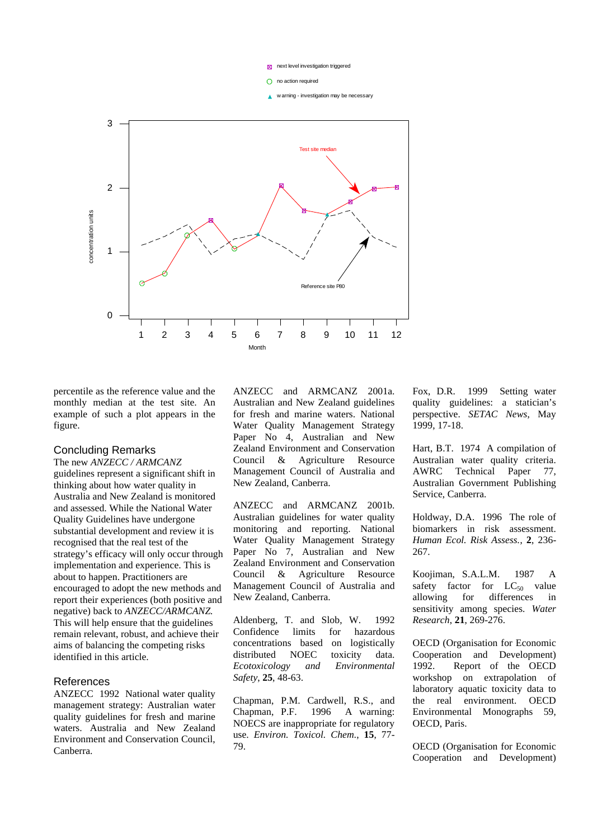

 $\bigcap$  no action required

w arning - investigation may be necessary



percentile as the reference value and the monthly median at the test site. An example of such a plot appears in the figure.

## Concluding Remarks

The new *ANZECC / ARMCANZ* guidelines represent a significant shift in thinking about how water quality in Australia and New Zealand is monitored and assessed. While the National Water Quality Guidelines have undergone substantial development and review it is recognised that the real test of the strategy's efficacy will only occur through implementation and experience. This is about to happen. Practitioners are encouraged to adopt the new methods and report their experiences (both positive and negative) back to *ANZECC/ARMCANZ.*  This will help ensure that the guidelines remain relevant, robust, and achieve their aims of balancing the competing risks identified in this article.

## References

ANZECC 1992 National water quality management strategy: Australian water quality guidelines for fresh and marine waters. Australia and New Zealand Environment and Conservation Council, Canberra.

ANZECC and ARMCANZ 2001a. Australian and New Zealand guidelines for fresh and marine waters. National Water Quality Management Strategy Paper No 4, Australian and New Zealand Environment and Conservation Council & Agriculture Resource Management Council of Australia and New Zealand, Canberra.

ANZECC and ARMCANZ 2001b. Australian guidelines for water quality monitoring and reporting. National Water Quality Management Strategy Paper No 7, Australian and New Zealand Environment and Conservation Council & Agriculture Resource Management Council of Australia and New Zealand, Canberra.

Aldenberg, T. and Slob, W. 1992 Confidence limits for hazardous concentrations based on logistically distributed NOEC toxicity data. *Ecotoxicology and Environmental Safety*, **25**, 48-63.

Chapman, P.M. Cardwell, R.S., and Chapman, P.F. 1996 A warning: NOECS are inappropriate for regulatory use. *Environ. Toxicol. Chem.*, **15**, 77- 79.

Fox, D.R. 1999 Setting water quality guidelines: a statician's perspective. *SETAC News*, May 1999, 17-18.

Hart, B.T. 1974 A compilation of Australian water quality criteria. AWRC Technical Paper 77, Australian Government Publishing Service, Canberra.

Holdway, D.A. 1996 The role of biomarkers in risk assessment. *Human Ecol. Risk Assess.*, **2**, 236- 267.

Koojiman, S.A.L.M. 1987 A safety factor for  $LC_{50}$  value allowing for differences in sensitivity among species. *Water Research*, **21**, 269-276.

OECD (Organisation for Economic Cooperation and Development) 1992. Report of the OECD workshop on extrapolation of laboratory aquatic toxicity data to the real environment. OECD Environmental Monographs 59, OECD, Paris.

OECD (Organisation for Economic Cooperation and Development)